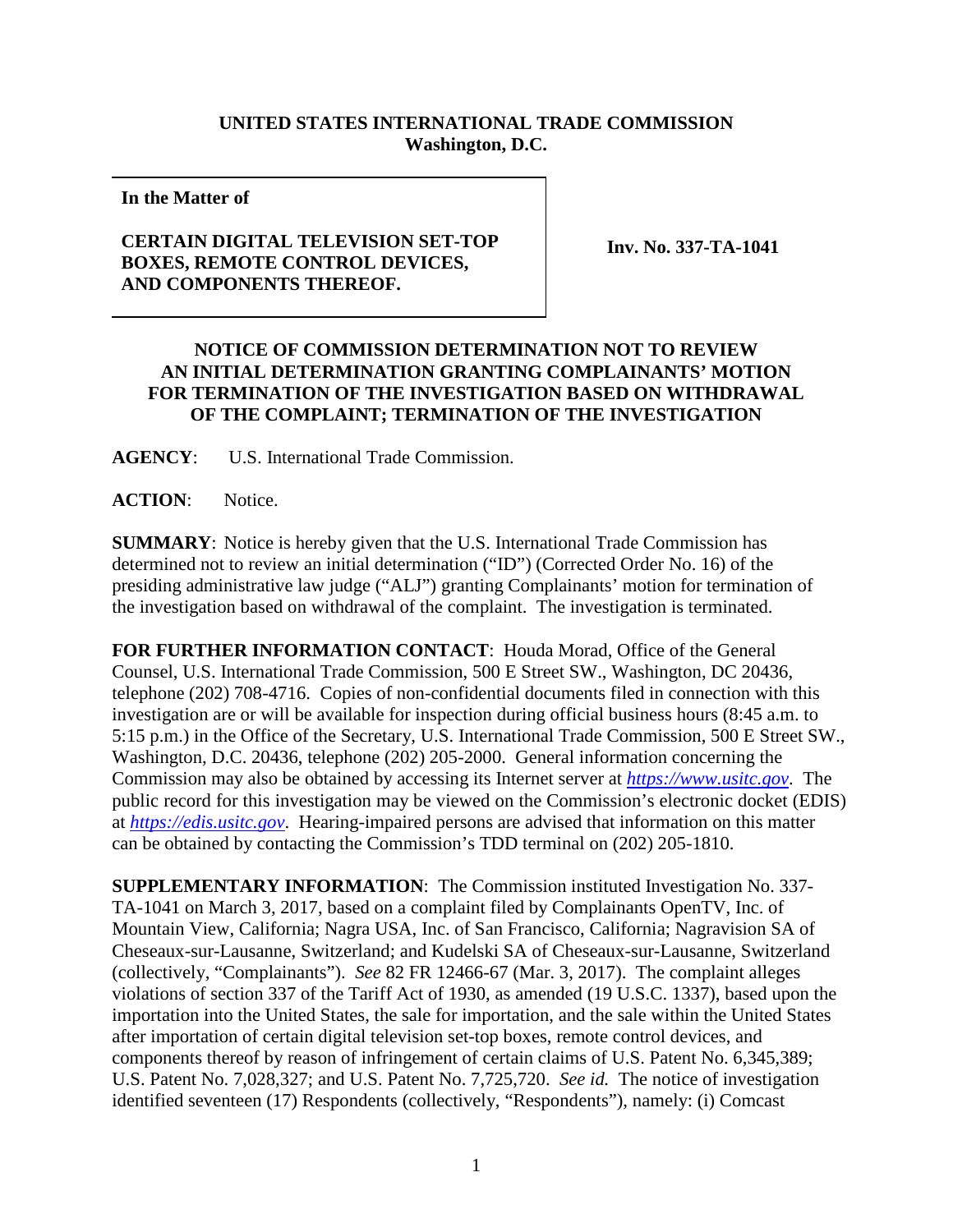## **UNITED STATES INTERNATIONAL TRADE COMMISSION Washington, D.C.**

**In the Matter of**

## **CERTAIN DIGITAL TELEVISION SET-TOP BOXES, REMOTE CONTROL DEVICES, AND COMPONENTS THEREOF.**

**Inv. No. 337-TA-1041**

## **NOTICE OF COMMISSION DETERMINATION NOT TO REVIEW AN INITIAL DETERMINATION GRANTING COMPLAINANTS' MOTION FOR TERMINATION OF THE INVESTIGATION BASED ON WITHDRAWAL OF THE COMPLAINT; TERMINATION OF THE INVESTIGATION**

**AGENCY**: U.S. International Trade Commission.

**ACTION**: Notice.

**SUMMARY**: Notice is hereby given that the U.S. International Trade Commission has determined not to review an initial determination ("ID") (Corrected Order No. 16) of the presiding administrative law judge ("ALJ") granting Complainants' motion for termination of the investigation based on withdrawal of the complaint. The investigation is terminated.

**FOR FURTHER INFORMATION CONTACT**: Houda Morad, Office of the General Counsel, U.S. International Trade Commission, 500 E Street SW., Washington, DC 20436, telephone (202) 708-4716. Copies of non-confidential documents filed in connection with this investigation are or will be available for inspection during official business hours (8:45 a.m. to 5:15 p.m.) in the Office of the Secretary, U.S. International Trade Commission, 500 E Street SW., Washington, D.C. 20436, telephone (202) 205-2000. General information concerning the Commission may also be obtained by accessing its Internet server at *[https://www.usitc.gov](https://www.usitc.gov/)*. The public record for this investigation may be viewed on the Commission's electronic docket (EDIS) at *[https://edis.usitc.gov](http://edis.usitc.gov/)*. Hearing-impaired persons are advised that information on this matter can be obtained by contacting the Commission's TDD terminal on (202) 205-1810.

**SUPPLEMENTARY INFORMATION**: The Commission instituted Investigation No. 337- TA-1041 on March 3, 2017, based on a complaint filed by Complainants OpenTV, Inc. of Mountain View, California; Nagra USA, Inc. of San Francisco, California; Nagravision SA of Cheseaux-sur-Lausanne, Switzerland; and Kudelski SA of Cheseaux-sur-Lausanne, Switzerland (collectively, "Complainants"). *See* 82 FR 12466-67 (Mar. 3, 2017). The complaint alleges violations of section 337 of the Tariff Act of 1930, as amended (19 U.S.C. 1337), based upon the importation into the United States, the sale for importation, and the sale within the United States after importation of certain digital television set-top boxes, remote control devices, and components thereof by reason of infringement of certain claims of U.S. Patent No. 6,345,389; U.S. Patent No. 7,028,327; and U.S. Patent No. 7,725,720. *See id.* The notice of investigation identified seventeen (17) Respondents (collectively, "Respondents"), namely: (i) Comcast